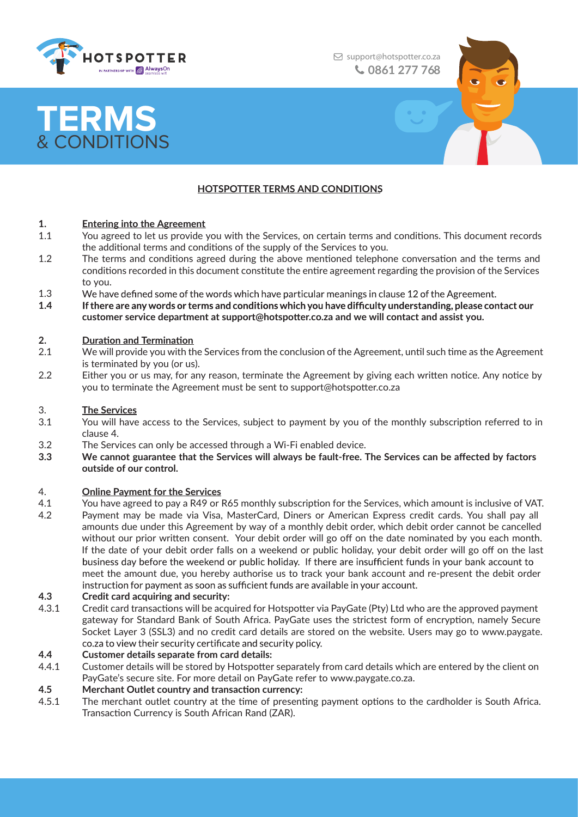

support@hotspotter.co.za **0861 277 76 0861 277 768**

# **TERMS** & CONDITIONS

### **HOTSPOTTER TERMS AND CONDITIONS**

#### **1. Entering into the Agreement**

- 1.1 You agreed to let us provide you with the Services, on certain terms and conditions. This document records the additional terms and conditions of the supply of the Services to you.
- 1.2 The terms and conditions agreed during the above mentioned telephone conversation and the terms and conditions recorded in this document constitute the entire agreement regarding the provision of the Services to you.
- 1.3 We have defined some of the words which have particular meanings in clause 12 of the Agreement.
- **1.4** If there are any words or terms and conditions which you have difficulty understanding, please contact our **customer service department at support@hotspotter.co.za and we will contact and assist you.**

#### **2. Duration and Termination**

- 2.1 We will provide you with the Services from the conclusion of the Agreement, until such time as the Agreement is terminated by you (or us).
- 2.2 Either you or us may, for any reason, terminate the Agreement by giving each written notice. Any notice by you to terminate the Agreement must be sent to support@hotspotter.co.za

#### 3. **The Services**

- 3.1 You will have access to the Services, subject to payment by you of the monthly subscription referred to in clause 4.
- 3.2 The Services can only be accessed through a Wi-Fi enabled device.
- 3.3 We cannot guarantee that the Services will always be fault-free. The Services can be affected by factors **outside of our control.**

#### 4. **Online Payment for the Services**

4.1 You have agreed to pay a R49 or R65 monthly subscription for the Services, which amount is inclusive of VAT. 4.2 Payment may be made via Visa, MasterCard, Diners or American Express credit cards. You shall pay all amounts due under this Agreement by way of a monthly debit order, which debit order cannot be cancelled without our prior written consent. Your debit order will go off on the date nominated by you each month. If the date of your debit order falls on a weekend or public holiday, your debit order will go off on the last business day before the weekend or public holiday. If there are insufficient funds in your bank account to meet the amount due, you hereby authorise us to track your bank account and re-present the debit order instruction for payment as soon as sufficient funds are available in your account.

#### **4.3 Credit card acquiring and security:**

4.3.1 Credit card transactions will be acquired for Hotspotter via PayGate (Pty) Ltd who are the approved payment gateway for Standard Bank of South Africa. PayGate uses the strictest form of encryption, namely Secure Socket Layer 3 (SSL3) and no credit card details are stored on the website. Users may go to www.paygate. co.za to view their security certificate and security policy.

#### **4.4 Customer details separate from card details:**

- 4.4.1 Customer details will be stored by Hotspotter separately from card details which are entered by the client on PayGate's secure site. For more detail on PayGate refer to www.paygate.co.za.
- **4.5 Merchant Outlet country and transaction currency:**
- 4.5.1 The merchant outlet country at the time of presenting payment options to the cardholder is South Africa. Transaction Currency is South African Rand (ZAR).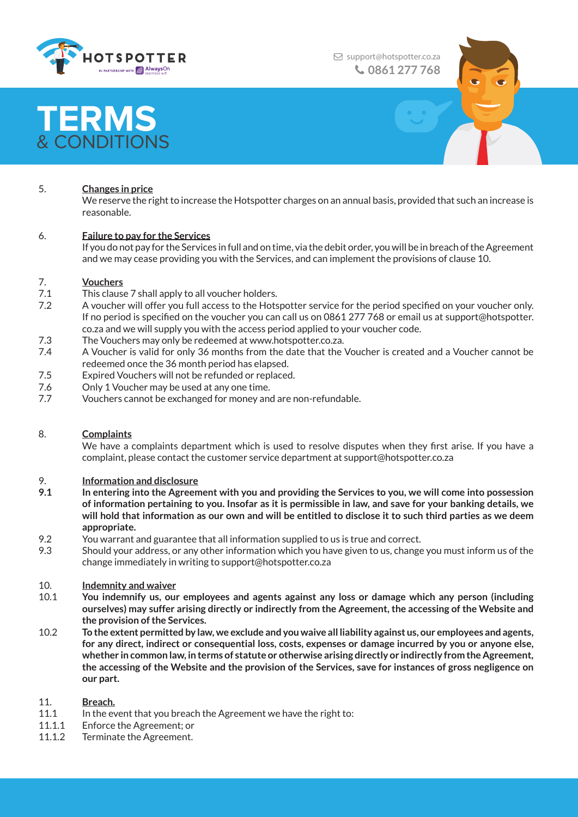

support@hotspotter.co.za **0861 277 76 0861 277 768**

# **TERMS** & CONDITIONS

### 5. **Changes in price**

We reserve the right to increase the Hotspotter charges on an annual basis, provided that such an increase is reasonable.

#### 6. **Failure to pay for the Services**

If you do not pay for the Services in full and on time, via the debit order, you will be in breach of the Agreement and we may cease providing you with the Services, and can implement the provisions of clause 10.

#### 7. **Vouchers**

- 7.1 This clause 7 shall apply to all voucher holders.
- 7.2 A voucher will offer you full access to the Hotspotter service for the period specified on your voucher only. If no period is specified on the voucher you can call us on 0861 277 768 or email us at support@hotspotter. co.za and we will supply you with the access period applied to your voucher code.
- 7.3 The Vouchers may only be redeemed at www.hotspotter.co.za.
- 7.4 A Voucher is valid for only 36 months from the date that the Voucher is created and a Voucher cannot be redeemed once the 36 month period has elapsed.
- 7.5 Expired Vouchers will not be refunded or replaced.
- 7.6 Only 1 Voucher may be used at any one time.
- 7.7 Vouchers cannot be exchanged for money and are non-refundable.

#### 8. **Complaints**

We have a complaints department which is used to resolve disputes when they first arise. If you have a complaint, please contact the customer service department at support@hotspotter.co.za

#### 9. **Information and disclosure**

- **9.1 In entering into the Agreement with you and providing the Services to you, we will come into possession of information pertaining to you. Insofar as it is permissible in law, and save for your banking details, we will hold that information as our own and will be entitled to disclose it to such third parties as we deem appropriate.**
- 9.2 You warrant and guarantee that all information supplied to us is true and correct.
- 9.3 Should your address, or any other information which you have given to us, change you must inform us of the change immediately in writing to support@hotspotter.co.za

#### 10. **Indemnity and waiver**

- 10.1 **You indemnify us, our employees and agents against any loss or damage which any person (including ourselves) may suffer arising directly or indirectly from the Agreement, the accessing of the Website and the provision of the Services.**
- 10.2 **To the extent permitted by law, we exclude and you waive all liability against us, our employees and agents, for any direct, indirect or consequential loss, costs, expenses or damage incurred by you or anyone else, whether in common law, in terms of statute or otherwise arising directly or indirectly from the Agreement, the accessing of the Website and the provision of the Services, save for instances of gross negligence on our part.**

#### 11. **Breach.**

- 11.1 In the event that you breach the Agreement we have the right to:
- 11.1.1 Enforce the Agreement; or
- 11.1.2 Terminate the Agreement.